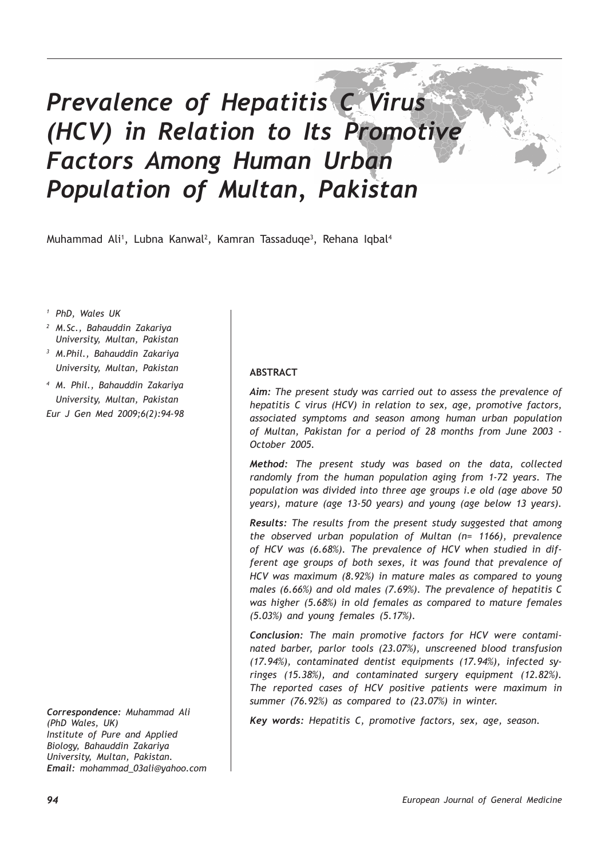# *Prevalence of Hepatitis C Virus (HCV) in Relation to Its Promotive Factors Among Human Urban Population of Multan, Pakistan*

Muhammad Ali<sup>1</sup>, Lubna Kanwal<sup>2</sup>, Kamran Tassaduqe<sup>3</sup>, Rehana Iqbal<sup>4</sup>

*<sup>1</sup> PhD, Wales UK*

- *<sup>2</sup> M.Sc., Bahauddin Zakariya University, Multan, Pakistan <sup>3</sup> M.Phil., Bahauddin Zakariya University, Multan, Pakistan*
- *<sup>4</sup> M. Phil., Bahauddin Zakariya University, Multan, Pakistan Eur J Gen Med 2009;6(2):94-98*

*Correspondence: Muhammad Ali (PhD Wales, UK) Institute of Pure and Applied Biology, Bahauddin Zakariya University, Multan, Pakistan. Email: mohammad\_03ali@yahoo.com*

## **ABSTRACT**

*Aim: The present study was carried out to assess the prevalence of hepatitis C virus (HCV) in relation to sex, age, promotive factors, associated symptoms and season among human urban population of Multan, Pakistan for a period of 28 months from June 2003 - October 2005.*

*Method: The present study was based on the data, collected randomly from the human population aging from 1-72 years. The population was divided into three age groups i.e old (age above 50 years), mature (age 13-50 years) and young (age below 13 years).*

*Results: The results from the present study suggested that among the observed urban population of Multan (n= 1166), prevalence of HCV was (6.68%). The prevalence of HCV when studied in different age groups of both sexes, it was found that prevalence of HCV was maximum (8.92%) in mature males as compared to young males (6.66%) and old males (7.69%). The prevalence of hepatitis C was higher (5.68%) in old females as compared to mature females (5.03%) and young females (5.17%).*

*Conclusion: The main promotive factors for HCV were contaminated barber, parlor tools (23.07%), unscreened blood transfusion (17.94%), contaminated dentist equipments (17.94%), infected syringes (15.38%), and contaminated surgery equipment (12.82%). The reported cases of HCV positive patients were maximum in summer (76.92%) as compared to (23.07%) in winter.* 

*Key words: Hepatitis C, promotive factors, sex, age, season.*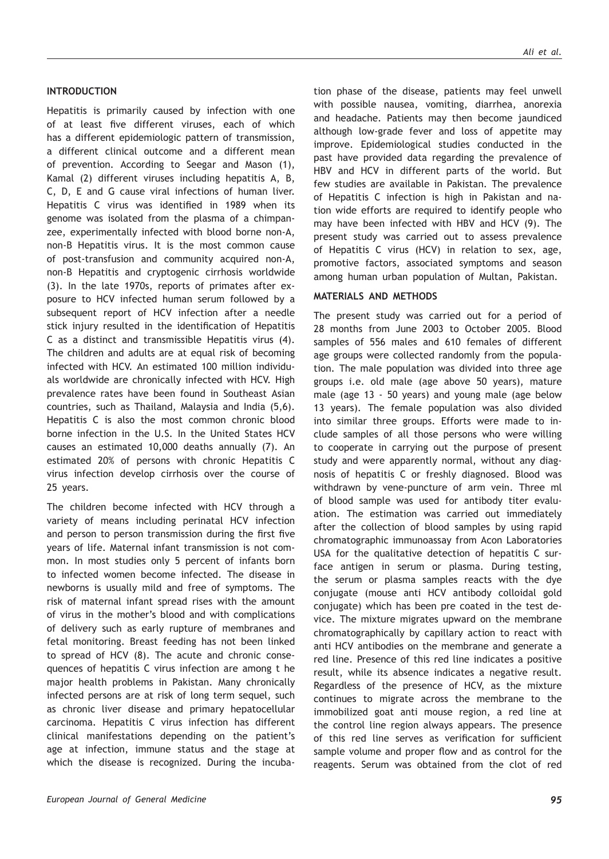#### **INTRODUCTION**

Hepatitis is primarily caused by infection with one of at least five different viruses, each of which has a different epidemiologic pattern of transmission, a different clinical outcome and a different mean of prevention. According to Seegar and Mason (1), Kamal (2) different viruses including hepatitis A, B, C, D, E and G cause viral infections of human liver. Hepatitis C virus was identified in 1989 when its genome was isolated from the plasma of a chimpanzee, experimentally infected with blood borne non-A, non-B Hepatitis virus. It is the most common cause of post-transfusion and community acquired non-A, non-B Hepatitis and cryptogenic cirrhosis worldwide (3). In the late 1970s, reports of primates after exposure to HCV infected human serum followed by a subsequent report of HCV infection after a needle stick injury resulted in the identification of Hepatitis C as a distinct and transmissible Hepatitis virus (4). The children and adults are at equal risk of becoming infected with HCV. An estimated 100 million individuals worldwide are chronically infected with HCV. High prevalence rates have been found in Southeast Asian countries, such as Thailand, Malaysia and India (5,6). Hepatitis C is also the most common chronic blood borne infection in the U.S. In the United States HCV causes an estimated 10,000 deaths annually (7). An estimated 20% of persons with chronic Hepatitis C virus infection develop cirrhosis over the course of 25 years.

The children become infected with HCV through a variety of means including perinatal HCV infection and person to person transmission during the first five years of life. Maternal infant transmission is not common. In most studies only 5 percent of infants born to infected women become infected. The disease in newborns is usually mild and free of symptoms. The risk of maternal infant spread rises with the amount of virus in the mother's blood and with complications of delivery such as early rupture of membranes and fetal monitoring. Breast feeding has not been linked to spread of HCV (8). The acute and chronic consequences of hepatitis C virus infection are among t he major health problems in Pakistan. Many chronically infected persons are at risk of long term sequel, such as chronic liver disease and primary hepatocellular carcinoma. Hepatitis C virus infection has different clinical manifestations depending on the patient's age at infection, immune status and the stage at which the disease is recognized. During the incuba-

tion phase of the disease, patients may feel unwell with possible nausea, vomiting, diarrhea, anorexia and headache. Patients may then become jaundiced although low-grade fever and loss of appetite may improve. Epidemiological studies conducted in the past have provided data regarding the prevalence of HBV and HCV in different parts of the world. But few studies are available in Pakistan. The prevalence of Hepatitis C infection is high in Pakistan and nation wide efforts are required to identify people who may have been infected with HBV and HCV (9). The present study was carried out to assess prevalence of Hepatitis C virus (HCV) in relation to sex, age, promotive factors, associated symptoms and season among human urban population of Multan, Pakistan.

### **MATERIALS AND METHODS**

The present study was carried out for a period of 28 months from June 2003 to October 2005. Blood samples of 556 males and 610 females of different age groups were collected randomly from the population. The male population was divided into three age groups i.e. old male (age above 50 years), mature male (age 13 - 50 years) and young male (age below 13 years). The female population was also divided into similar three groups. Efforts were made to include samples of all those persons who were willing to cooperate in carrying out the purpose of present study and were apparently normal, without any diagnosis of hepatitis C or freshly diagnosed. Blood was withdrawn by vene-puncture of arm vein. Three ml of blood sample was used for antibody titer evaluation. The estimation was carried out immediately after the collection of blood samples by using rapid chromatographic immunoassay from Acon Laboratories USA for the qualitative detection of hepatitis C surface antigen in serum or plasma. During testing, the serum or plasma samples reacts with the dye conjugate (mouse anti HCV antibody colloidal gold conjugate) which has been pre coated in the test device. The mixture migrates upward on the membrane chromatographically by capillary action to react with anti HCV antibodies on the membrane and generate a red line. Presence of this red line indicates a positive result, while its absence indicates a negative result. Regardless of the presence of HCV, as the mixture continues to migrate across the membrane to the immobilized goat anti mouse region, a red line at the control line region always appears. The presence of this red line serves as verification for sufficient sample volume and proper flow and as control for the reagents. Serum was obtained from the clot of red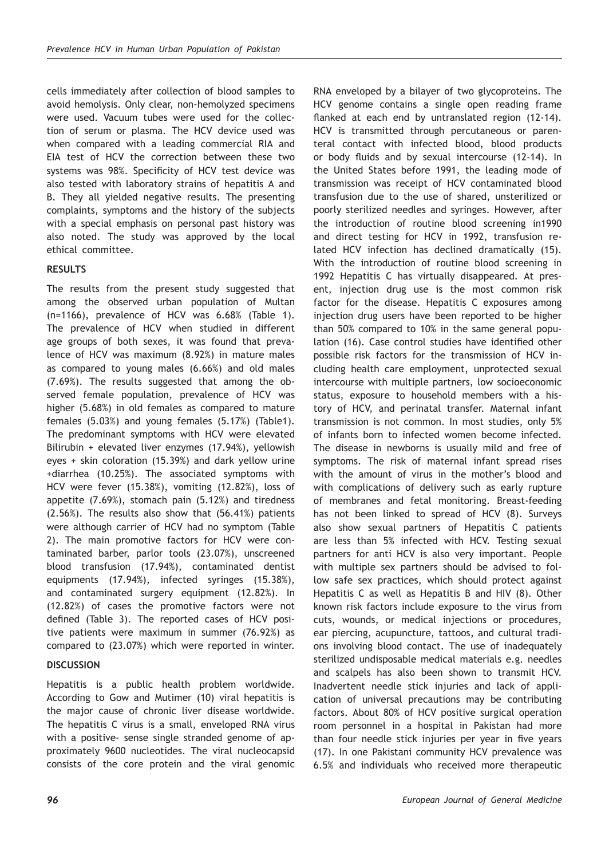cells immediately after collection of blood samples to avoid hemolysis. Only clear, non-hemolyzed specimens were used. Vacuum tubes were used for the collection of serum or plasma. The HCV device used was when compared with a leading commercial RIA and EIA test of HCV the correction between these two systems was 98%. Specificity of HCV test device was also tested with laboratory strains of hepatitis A and B. They all yielded negative results. The presenting complaints, symptoms and the history of the subjects with a special emphasis on personal past history was also noted. The study was approved by the local ethical committee.

# **RESULTS**

The results from the present study suggested that among the observed urban population of Multan (n=1166), prevalence of HCV was 6.68% (Table 1). The prevalence of HCV when studied in different age groups of both sexes, it was found that prevalence of HCV was maximum (8.92%) in mature males as compared to young males (6.66%) and old males (7.69%). The results suggested that among the observed female population, prevalence of HCV was higher (5.68%) in old females as compared to mature females (5.03%) and young females (5.17%) (Table1). The predominant symptoms with HCV were elevated Bilirubin + elevated liver enzymes (17.94%), yellowish eyes + skin coloration (15.39%) and dark yellow urine +diarrhea (10.25%). The associated symptoms with HCV were fever (15.38%), vomiting (12.82%), loss of appetite (7.69%), stomach pain (5.12%) and tiredness (2.56%). The results also show that (56.41%) patients were although carrier of HCV had no symptom (Table 2). The main promotive factors for HCV were contaminated barber, parlor tools (23.07%), unscreened blood transfusion (17.94%), contaminated dentist equipments (17.94%), infected syringes (15.38%), and contaminated surgery equipment (12.82%). In (12.82%) of cases the promotive factors were not defined (Table 3). The reported cases of HCV positive patients were maximum in summer (76.92%) as compared to (23.07%) which were reported in winter.

## **DISCUSSION**

Hepatitis is a public health problem worldwide. According to Gow and Mutimer (10) viral hepatitis is the major cause of chronic liver disease worldwide. The hepatitis C virus is a small, enveloped RNA virus with a positive- sense single stranded genome of approximately 9600 nucleotides. The viral nucleocapsid consists of the core protein and the viral genomic RNA enveloped by a bilayer of two glycoproteins. The HCV genome contains a single open reading frame flanked at each end by untranslated region (12-14). HCV is transmitted through percutaneous or parenteral contact with infected blood, blood products or body fluids and by sexual intercourse (12-14). In the United States before 1991, the leading mode of transmission was receipt of HCV contaminated blood transfusion due to the use of shared, unsterilized or poorly sterilized needles and syringes. However, after the introduction of routine blood screening in1990 and direct testing for HCV in 1992, transfusion related HCV infection has declined dramatically (15). With the introduction of routine blood screening in 1992 Hepatitis C has virtually disappeared. At present, injection drug use is the most common risk factor for the disease. Hepatitis C exposures among injection drug users have been reported to be higher than 50% compared to 10% in the same general population (16). Case control studies have identified other possible risk factors for the transmission of HCV including health care employment, unprotected sexual intercourse with multiple partners, low socioeconomic status, exposure to household members with a history of HCV, and perinatal transfer. Maternal infant transmission is not common. In most studies, only 5% of infants born to infected women become infected. The disease in newborns is usually mild and free of symptoms. The risk of maternal infant spread rises with the amount of virus in the mother's blood and with complications of delivery such as early rupture of membranes and fetal monitoring. Breast-feeding has not been linked to spread of HCV (8). Surveys also show sexual partners of Hepatitis C patients are less than 5% infected with HCV. Testing sexual partners for anti HCV is also very important. People with multiple sex partners should be advised to follow safe sex practices, which should protect against Hepatitis C as well as Hepatitis B and HIV (8). Other known risk factors include exposure to the virus from cuts, wounds, or medical injections or procedures, ear piercing, acupuncture, tattoos, and cultural tradions involving blood contact. The use of inadequately sterilized undisposable medical materials e.g. needles and scalpels has also been shown to transmit HCV. Inadvertent needle stick injuries and lack of application of universal precautions may be contributing factors. About 80% of HCV positive surgical operation room personnel in a hospital in Pakistan had more than four needle stick injuries per year in five years (17). In one Pakistani community HCV prevalence was 6.5% and individuals who received more therapeutic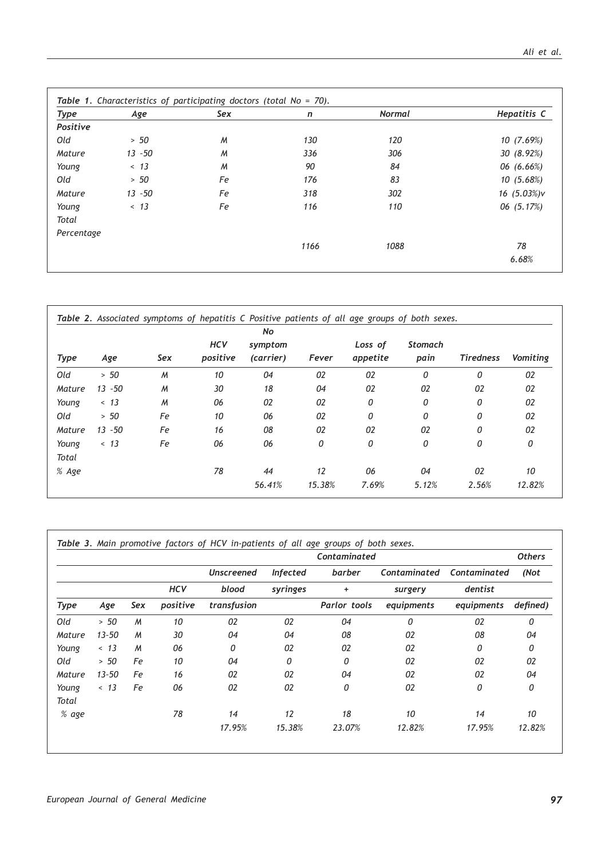| Type       | Age       | Sex          | n    | <b>Normal</b> | Hepatitis C |
|------------|-----------|--------------|------|---------------|-------------|
| Positive   |           |              |      |               |             |
| Old        | > 50      | $\mathcal M$ | 130  | 120           | 10(7.69%)   |
| Mature     | $13 - 50$ | M            | 336  | 306           | 30(8.92%)   |
| Young      | < 13      | M            | 90   | 84            | 06 (6.66%)  |
| Old        | > 50      | Fe           | 176  | 83            | 10(5.68%)   |
| Mature     | $13 - 50$ | Fe           | 318  | 302           | 16 (5.03%)v |
| Young      | < 13      | Fe           | 116  | 110           | 06 (5.17%)  |
| Total      |           |              |      |               |             |
| Percentage |           |              |      |               |             |
|            |           |              | 1166 | 1088          | 78          |
|            |           |              |      |               | 6.68%       |

|              |           |     |                        | No                   | Fever  | Loss of<br>appetite | <b>Stomach</b><br>pain | <b>Tiredness</b> | Vomiting |
|--------------|-----------|-----|------------------------|----------------------|--------|---------------------|------------------------|------------------|----------|
| Type         |           | Sex | <b>HCV</b><br>positive | symptom<br>(carrier) |        |                     |                        |                  |          |
|              | Age       |     |                        |                      |        |                     |                        |                  |          |
| Old          | > 50      | M   | 10                     | 04                   | 02     | 02                  | 0                      | 0                | 02       |
| Mature       | $13 - 50$ | M   | 30                     | 18                   | 04     | 02                  | 02                     | 02               | 02       |
| Young        | < 13      | M   | 06                     | 02                   | 02     | 0                   | 0                      | 0                | 02       |
| Old          | > 50      | Fe  | 10                     | 06                   | 02     | 0                   | 0                      | $\Omega$         | 02       |
| Mature       | $13 - 50$ | Fe  | 16                     | 08                   | 02     | 02                  | 02                     | 0                | 02       |
| Young        | < 13      | Fe  | 06                     | 06                   | 0      | 0                   | 0                      | 0                | 0        |
| <b>Total</b> |           |     |                        |                      |        |                     |                        |                  |          |
| % Age        |           |     | 78                     | 44                   | 12     | 06                  | 04                     | 02               | 10       |
|              |           |     |                        | 56.41%               | 15.38% | 7.69%               | 5.12%                  | 2.56%            | 12.82%   |

|             |           |     |            | Contaminated      |                 |              |              |              |          |
|-------------|-----------|-----|------------|-------------------|-----------------|--------------|--------------|--------------|----------|
|             |           |     |            | <b>Unscreened</b> | <b>Infected</b> | barber       | Contaminated | Contaminated | (Not     |
|             |           |     | <b>HCV</b> | blood             | syringes        | ÷            | surgery      | dentist      |          |
| <b>Type</b> | Age       | Sex | positive   | transfusion       |                 | Parlor tools | equipments   | equipments   | defined) |
| Old         | > 50      | M   | 10         | 02                | 02              | 04           | 0            | 02           | 0        |
| Mature      | $13 - 50$ | M   | 30         | 04                | 04              | 08           | 02           | 08           | 04       |
| Young       | < 13      | M   | 06         | 0                 | 02              | 02           | 02           | 0            | 0        |
| Old         | > 50      | Fe  | 10         | 04                | 0               | 0            | 02           | 02           | 02       |
| Mature      | $13 - 50$ | Fe  | 16         | 02                | 02              | 04           | 02           | 02           | 04       |
| Young       | < 13      | Fe  | 06         | 02                | 02              | 0            | 02           | 0            | 0        |
| Total       |           |     |            |                   |                 |              |              |              |          |
| % age       |           |     | 78         | 14                | 12              | 18           | 10           | 14           | 10       |
|             |           |     |            | 17.95%            | 15.38%          | 23.07%       | 12.82%       | 17.95%       | 12.82%   |